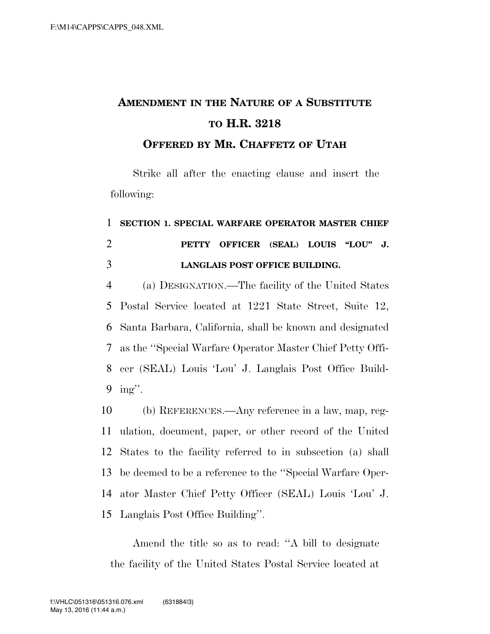## **AMENDMENT IN THE NATURE OF A SUBSTITUTE TO H.R. 3218**

**OFFERED BY MR. CHAFFETZ OF UTAH**

Strike all after the enacting clause and insert the following:

## 1 **SECTION 1. SPECIAL WARFARE OPERATOR MASTER CHIEF**  2 **PETTY OFFICER (SEAL) LOUIS ''LOU'' J.**  3 **LANGLAIS POST OFFICE BUILDING.**

 (a) DESIGNATION.—The facility of the United States Postal Service located at 1221 State Street, Suite 12, Santa Barbara, California, shall be known and designated as the ''Special Warfare Operator Master Chief Petty Offi- cer (SEAL) Louis 'Lou' J. Langlais Post Office Build-9 ing''.

 (b) REFERENCES.—Any reference in a law, map, reg- ulation, document, paper, or other record of the United States to the facility referred to in subsection (a) shall be deemed to be a reference to the ''Special Warfare Oper- ator Master Chief Petty Officer (SEAL) Louis 'Lou' J. Langlais Post Office Building''.

Amend the title so as to read: ''A bill to designate the facility of the United States Postal Service located at